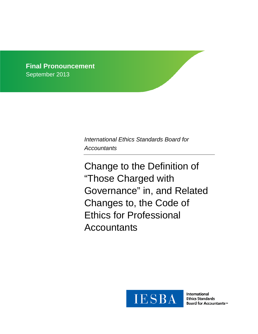**Final Pronouncement** September 2013

> *International Ethics Standards Board for Accountants*

Change to the Definition of "Those Charged with Governance" in, and Related Changes to, the Code of Ethics for Professional **Accountants** 



**International Ethics Standards Board for Accountants**™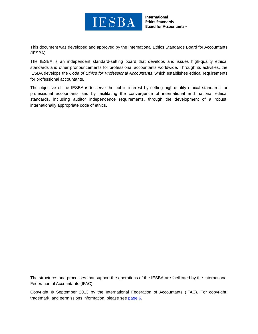

**International Ethics Standards Board for Accountants™** 

This document was developed and approved by the International Ethics Standards Board for Accountants (IESBA).

The IESBA is an independent standard-setting board that develops and issues high-quality ethical standards and other pronouncements for professional accountants worldwide. Through its activities, the IESBA develops the *Code of Ethics for Professional Accountants*, which establishes ethical requirements for professional accountants.

The objective of the IESBA is to serve the public interest by setting high-quality ethical standards for professional accountants and by facilitating the convergence of international and national ethical standards, including auditor independence requirements, through the development of a robust, internationally appropriate code of ethics.

The structures and processes that support the operations of the IESBA are facilitated by the International Federation of Accountants (IFAC).

Copyright © September 2013 by the International Federation of Accountants (IFAC). For copyright, trademark, and permissions information, please see [page](#page-5-0) 6.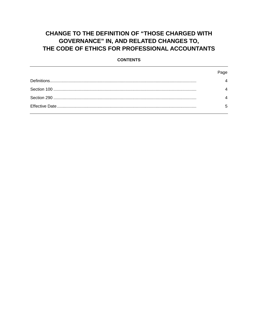# **CHANGE TO THE DEFINITION OF "THOSE CHARGED WITH GOVERNANCE" IN, AND RELATED CHANGES TO,** THE CODE OF ETHICS FOR PROFESSIONAL ACCOUNTANTS

#### **CONTENTS**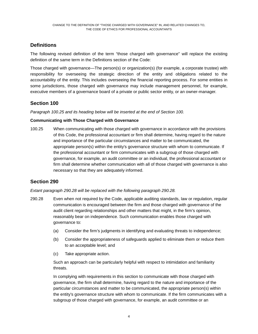# <span id="page-3-0"></span>**Definitions**

The following revised definition of the term "those charged with governance" will replace the existing definition of the same term in the Definitions section of the Code:

Those charged with governance—The person(s) or organization(s) (for example, a corporate trustee) with responsibility for overseeing the strategic direction of the entity and obligations related to the accountability of the entity. This includes overseeing the financial reporting process. For some entities in some jurisdictions, those charged with governance may include management personnel, for example, executive members of a governance board of a private or public sector entity, or an owner-manager.

## <span id="page-3-1"></span>**Section 100**

*Paragraph 100.25 and its heading below will be inserted at the end of Section 100.*

#### **Communicating with Those Charged with Governance**

100.25 When communicating with those charged with governance in accordance with the provisions of this Code, the professional accountant or firm shall determine, having regard to the nature and importance of the particular circumstances and matter to be communicated, the appropriate person(s) within the entity's governance structure with whom to communicate. If the professional accountant or firm communicates with a subgroup of those charged with governance, for example, an audit committee or an individual, the professional accountant or firm shall determine whether communication with all of those charged with governance is also necessary so that they are adequately informed.

## <span id="page-3-2"></span>**Section 290**

*Extant paragraph 290.28 will be replaced with the following paragraph 290.28.*

- 290.28 Even when not required by the Code, applicable auditing standards, law or regulation, regular communication is encouraged between the firm and those charged with governance of the audit client regarding relationships and other matters that might, in the firm's opinion, reasonably bear on independence. Such communication enables those charged with governance to:
	- (a) Consider the firm's judgments in identifying and evaluating threats to independence;
	- (b) Consider the appropriateness of safeguards applied to eliminate them or reduce them to an acceptable level; and
	- (c) Take appropriate action.

Such an approach can be particularly helpful with respect to intimidation and familiarity threats.

In complying with requirements in this section to communicate with those charged with governance, the firm shall determine, having regard to the nature and importance of the particular circumstances and matter to be communicated, the appropriate person(s) within the entity's governance structure with whom to communicate. If the firm communicates with a subgroup of those charged with governance, for example, an audit committee or an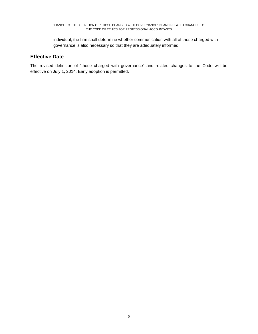individual, the firm shall determine whether communication with all of those charged with governance is also necessary so that they are adequately informed.

### <span id="page-4-0"></span>**Effective Date**

The revised definition of "those charged with governance" and related changes to the Code will be effective on July 1, 2014. Early adoption is permitted.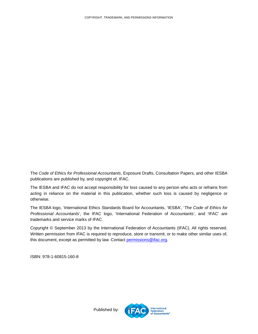<span id="page-5-0"></span>The *Code of Ethics for Professional Accountants*, Exposure Drafts, Consultation Papers, and other IESBA publications are published by, and copyright of, IFAC.

The IESBA and IFAC do not accept responsibility for loss caused to any person who acts or refrains from acting in reliance on the material in this publication, whether such loss is caused by negligence or otherwise.

The IESBA logo, 'International Ethics Standards Board for Accountants, 'IESBA', '*The Code of Ethics for Professional Accountants*', the IFAC logo, 'International Federation of Accountants', and 'IFAC' are trademarks and service marks of IFAC.

Copyright © September 2013 by the International Federation of Accountants (IFAC). All rights reserved. Written permission from IFAC is required to reproduce, store or transmit, or to make other similar uses of, this document, except as permitted by law. Contact [permissions@ifac.org.](mailto:permissions@ifac.org)

ISBN: 978-1-60815-160-8